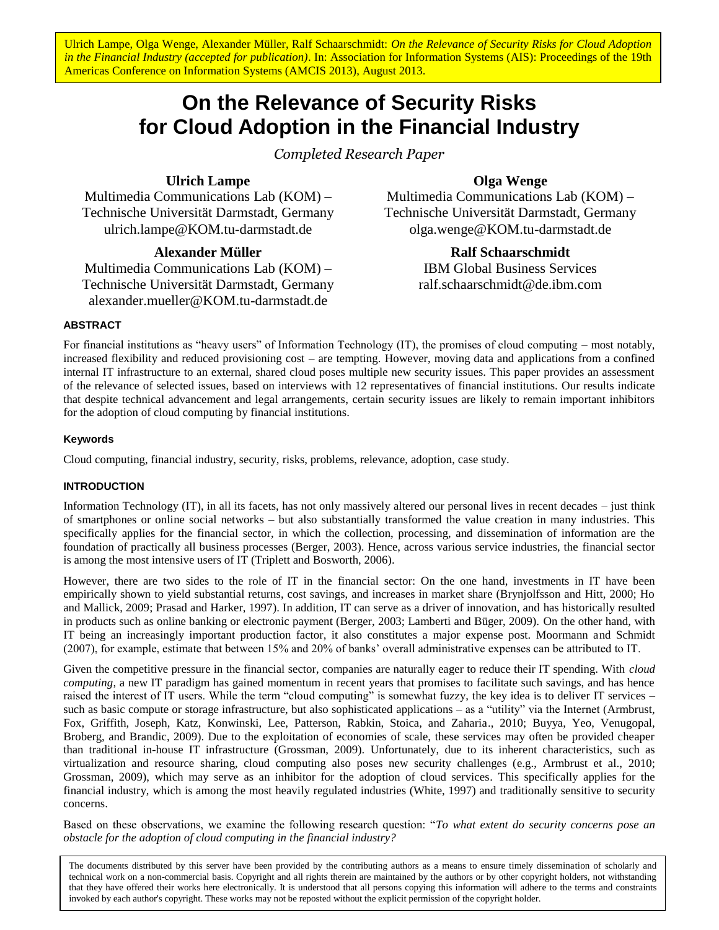Ulrich Lampe, Olga Wenge, Alexander Müller, Ralf Schaarschmidt: On the Relevance of Security Risks for Cloud Adoption *in the Financial Industry (accepted for publication)*. In: Association for Information Systems (AIS): Proceedings of the 19th Americas Conference on Information Systems (AMCIS 2013), August 2013.

# **On the Relevance of Security Risks for Cloud Adoption in the Financial Industry**

*Completed Research Paper*

**Ulrich Lampe**

Multimedia Communications Lab (KOM) – Technische Universität Darmstadt, Germany ulrich.lampe@KOM.tu-darmstadt.de

# **Alexander Müller**

Multimedia Communications Lab (KOM) – Technische Universität Darmstadt, Germany alexander.mueller@KOM.tu-darmstadt.de

# **Olga Wenge**

Multimedia Communications Lab (KOM) – Technische Universität Darmstadt, Germany olga.wenge@KOM.tu-darmstadt.de

> **Ralf Schaarschmidt** IBM Global Business Services

ralf.schaarschmidt@de.ibm.com

# **ABSTRACT**

For financial institutions as "heavy users" of Information Technology (IT), the promises of cloud computing – most notably, increased flexibility and reduced provisioning cost – are tempting. However, moving data and applications from a confined internal IT infrastructure to an external, shared cloud poses multiple new security issues. This paper provides an assessment of the relevance of selected issues, based on interviews with 12 representatives of financial institutions. Our results indicate that despite technical advancement and legal arrangements, certain security issues are likely to remain important inhibitors for the adoption of cloud computing by financial institutions.

#### **Keywords**

Cloud computing, financial industry, security, risks, problems, relevance, adoption, case study.

# **INTRODUCTION**

Information Technology (IT), in all its facets, has not only massively altered our personal lives in recent decades – just think of smartphones or online social networks – but also substantially transformed the value creation in many industries. This specifically applies for the financial sector, in which the collection, processing, and dissemination of information are the foundation of practically all business processes (Berger, 2003). Hence, across various service industries, the financial sector is among the most intensive users of IT (Triplett and Bosworth, 2006).

However, there are two sides to the role of IT in the financial sector: On the one hand, investments in IT have been empirically shown to yield substantial returns, cost savings, and increases in market share (Brynjolfsson and Hitt, 2000; Ho and Mallick, 2009; Prasad and Harker, 1997). In addition, IT can serve as a driver of innovation, and has historically resulted in products such as online banking or electronic payment (Berger, 2003; Lamberti and Büger, 2009). On the other hand, with IT being an increasingly important production factor, it also constitutes a major expense post. Moormann and Schmidt (2007), for example, estimate that between 15% and 20% of banks' overall administrative expenses can be attributed to IT.

Given the competitive pressure in the financial sector, companies are naturally eager to reduce their IT spending. With *cloud computing*, a new IT paradigm has gained momentum in recent years that promises to facilitate such savings, and has hence raised the interest of IT users. While the term "cloud computing" is somewhat fuzzy, the key idea is to deliver IT services – such as basic compute or storage infrastructure, but also sophisticated applications – as a "utility" via the Internet (Armbrust, Fox, Griffith, Joseph, Katz, Konwinski, Lee, Patterson, Rabkin, Stoica, and Zaharia., 2010; Buyya, Yeo, Venugopal, Broberg, and Brandic, 2009). Due to the exploitation of economies of scale, these services may often be provided cheaper than traditional in-house IT infrastructure (Grossman, 2009). Unfortunately, due to its inherent characteristics, such as virtualization and resource sharing, cloud computing also poses new security challenges (e.g., Armbrust et al., 2010; Grossman, 2009), which may serve as an inhibitor for the adoption of cloud services. This specifically applies for the financial industry, which is among the most heavily regulated industries (White, 1997) and traditionally sensitive to security concerns.

Based on these observations, we examine the following research question: "*To what extent do security concerns pose an obstacle for the adoption of cloud computing in the financial industry?*

rechincal work on a non-commercial basis. Copyingin and an inglus ultient are manufamed by the additions of by other copyingin noticers, not with standing<br>that they have offered their works here electronically. It is under The documents distributed by this server have been provided by the contributing authors as a means to ensure timely dissemination of scholarly and technical work on a non-commercial basis. Copyright and all rights therein are maintained by the authors or by other copyright holders, not withstanding invoked by each author's copyright. These works may not be reposted without the explicit permission of the copyright holder.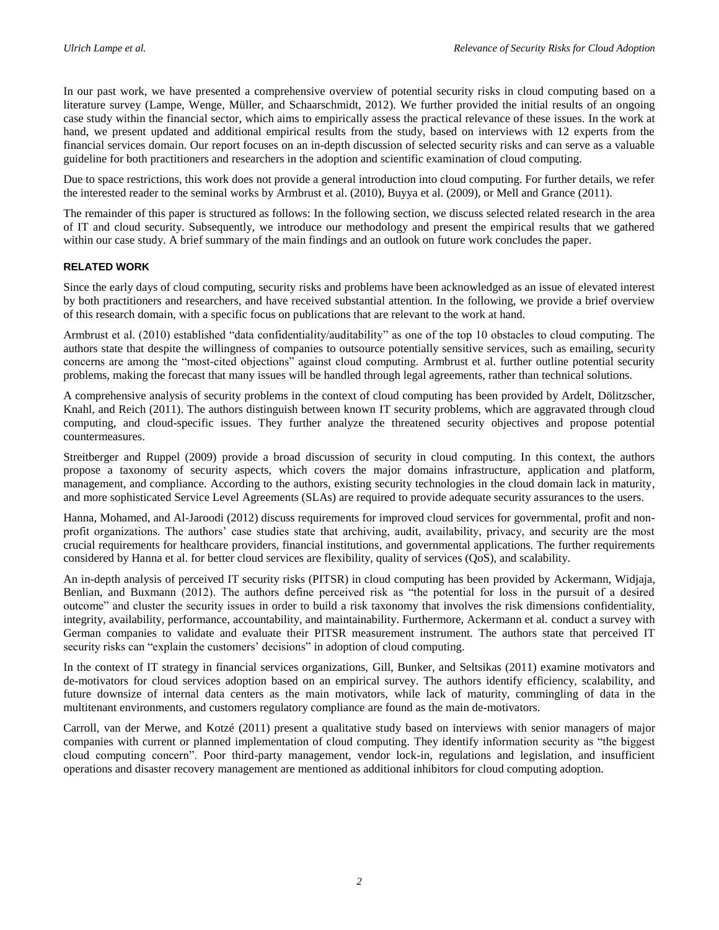In our past work, we have presented a comprehensive overview of potential security risks in cloud computing based on a literature survey (Lampe, Wenge, Müller, and Schaarschmidt, 2012). We further provided the initial results of an ongoing case study within the financial sector, which aims to empirically assess the practical relevance of these issues. In the work at hand, we present updated and additional empirical results from the study, based on interviews with 12 experts from the financial services domain. Our report focuses on an in-depth discussion of selected security risks and can serve as a valuable guideline for both practitioners and researchers in the adoption and scientific examination of cloud computing.

Due to space restrictions, this work does not provide a general introduction into cloud computing. For further details, we refer the interested reader to the seminal works by Armbrust et al. (2010), Buyya et al. (2009), or Mell and Grance (2011).

The remainder of this paper is structured as follows: In the following section, we discuss selected related research in the area of IT and cloud security. Subsequently, we introduce our methodology and present the empirical results that we gathered within our case study. A brief summary of the main findings and an outlook on future work concludes the paper.

#### **RELATED WORK**

Since the early days of cloud computing, security risks and problems have been acknowledged as an issue of elevated interest by both practitioners and researchers, and have received substantial attention. In the following, we provide a brief overview of this research domain, with a specific focus on publications that are relevant to the work at hand.

Armbrust et al. (2010) established "data confidentiality/auditability" as one of the top 10 obstacles to cloud computing. The authors state that despite the willingness of companies to outsource potentially sensitive services, such as emailing, security concerns are among the "most-cited objections" against cloud computing. Armbrust et al. further outline potential security problems, making the forecast that many issues will be handled through legal agreements, rather than technical solutions.

A comprehensive analysis of security problems in the context of cloud computing has been provided by Ardelt, Dölitzscher, Knahl, and Reich (2011). The authors distinguish between known IT security problems, which are aggravated through cloud computing, and cloud-specific issues. They further analyze the threatened security objectives and propose potential countermeasures.

Streitberger and Ruppel (2009) provide a broad discussion of security in cloud computing. In this context, the authors propose a taxonomy of security aspects, which covers the major domains infrastructure, application and platform, management, and compliance. According to the authors, existing security technologies in the cloud domain lack in maturity, and more sophisticated Service Level Agreements (SLAs) are required to provide adequate security assurances to the users.

Hanna, Mohamed, and Al-Jaroodi (2012) discuss requirements for improved cloud services for governmental, profit and nonprofit organizations. The authors' case studies state that archiving, audit, availability, privacy, and security are the most crucial requirements for healthcare providers, financial institutions, and governmental applications. The further requirements considered by Hanna et al. for better cloud services are flexibility, quality of services (QoS), and scalability.

An in-depth analysis of perceived IT security risks (PITSR) in cloud computing has been provided by Ackermann, Widjaja, Benlian, and Buxmann (2012). The authors define perceived risk as "the potential for loss in the pursuit of a desired outcome" and cluster the security issues in order to build a risk taxonomy that involves the risk dimensions confidentiality, integrity, availability, performance, accountability, and maintainability. Furthermore, Ackermann et al. conduct a survey with German companies to validate and evaluate their PITSR measurement instrument. The authors state that perceived IT security risks can "explain the customers' decisions" in adoption of cloud computing.

In the context of IT strategy in financial services organizations, Gill, Bunker, and Seltsikas (2011) examine motivators and de-motivators for cloud services adoption based on an empirical survey. The authors identify efficiency, scalability, and future downsize of internal data centers as the main motivators, while lack of maturity, commingling of data in the multitenant environments, and customers regulatory compliance are found as the main de-motivators.

Carroll, van der Merwe, and Kotzé (2011) present a qualitative study based on interviews with senior managers of major companies with current or planned implementation of cloud computing. They identify information security as "the biggest cloud computing concern". Poor third-party management, vendor lock-in, regulations and legislation, and insufficient operations and disaster recovery management are mentioned as additional inhibitors for cloud computing adoption.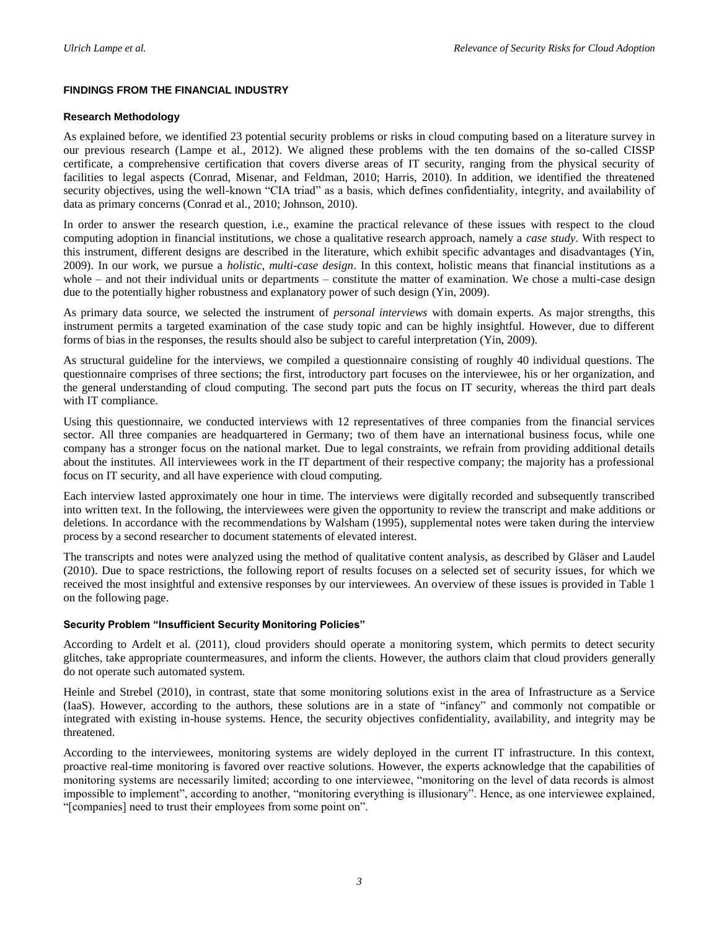# **FINDINGS FROM THE FINANCIAL INDUSTRY**

#### **Research Methodology**

As explained before, we identified 23 potential security problems or risks in cloud computing based on a literature survey in our previous research (Lampe et al., 2012). We aligned these problems with the ten domains of the so-called CISSP certificate, a comprehensive certification that covers diverse areas of IT security, ranging from the physical security of facilities to legal aspects (Conrad, Misenar, and Feldman, 2010; Harris, 2010). In addition, we identified the threatened security objectives, using the well-known "CIA triad" as a basis, which defines confidentiality, integrity, and availability of data as primary concerns (Conrad et al., 2010; Johnson, 2010).

In order to answer the research question, i.e., examine the practical relevance of these issues with respect to the cloud computing adoption in financial institutions, we chose a qualitative research approach, namely a *case study*. With respect to this instrument, different designs are described in the literature, which exhibit specific advantages and disadvantages (Yin, 2009). In our work, we pursue a *holistic, multi-case design*. In this context, holistic means that financial institutions as a whole – and not their individual units or departments – constitute the matter of examination. We chose a multi-case design due to the potentially higher robustness and explanatory power of such design (Yin, 2009).

As primary data source, we selected the instrument of *personal interviews* with domain experts. As major strengths, this instrument permits a targeted examination of the case study topic and can be highly insightful. However, due to different forms of bias in the responses, the results should also be subject to careful interpretation (Yin, 2009).

As structural guideline for the interviews, we compiled a questionnaire consisting of roughly 40 individual questions. The questionnaire comprises of three sections; the first, introductory part focuses on the interviewee, his or her organization, and the general understanding of cloud computing. The second part puts the focus on IT security, whereas the third part deals with IT compliance.

Using this questionnaire, we conducted interviews with 12 representatives of three companies from the financial services sector. All three companies are headquartered in Germany; two of them have an international business focus, while one company has a stronger focus on the national market. Due to legal constraints, we refrain from providing additional details about the institutes. All interviewees work in the IT department of their respective company; the majority has a professional focus on IT security, and all have experience with cloud computing.

Each interview lasted approximately one hour in time. The interviews were digitally recorded and subsequently transcribed into written text. In the following, the interviewees were given the opportunity to review the transcript and make additions or deletions. In accordance with the recommendations by Walsham (1995), supplemental notes were taken during the interview process by a second researcher to document statements of elevated interest.

The transcripts and notes were analyzed using the method of qualitative content analysis, as described by Gläser and Laudel (2010). Due to space restrictions, the following report of results focuses on a selected set of security issues, for which we received the most insightful and extensive responses by our interviewees. An overview of these issues is provided in [Table 1](#page-3-0) on the following page.

# **Security Problem "Insufficient Security Monitoring Policies"**

According to Ardelt et al. (2011), cloud providers should operate a monitoring system, which permits to detect security glitches, take appropriate countermeasures, and inform the clients. However, the authors claim that cloud providers generally do not operate such automated system.

Heinle and Strebel (2010), in contrast, state that some monitoring solutions exist in the area of Infrastructure as a Service (IaaS). However, according to the authors, these solutions are in a state of "infancy" and commonly not compatible or integrated with existing in-house systems. Hence, the security objectives confidentiality, availability, and integrity may be threatened.

According to the interviewees, monitoring systems are widely deployed in the current IT infrastructure. In this context, proactive real-time monitoring is favored over reactive solutions. However, the experts acknowledge that the capabilities of monitoring systems are necessarily limited; according to one interviewee, "monitoring on the level of data records is almost impossible to implement", according to another, "monitoring everything is illusionary". Hence, as one interviewee explained, "[companies] need to trust their employees from some point on".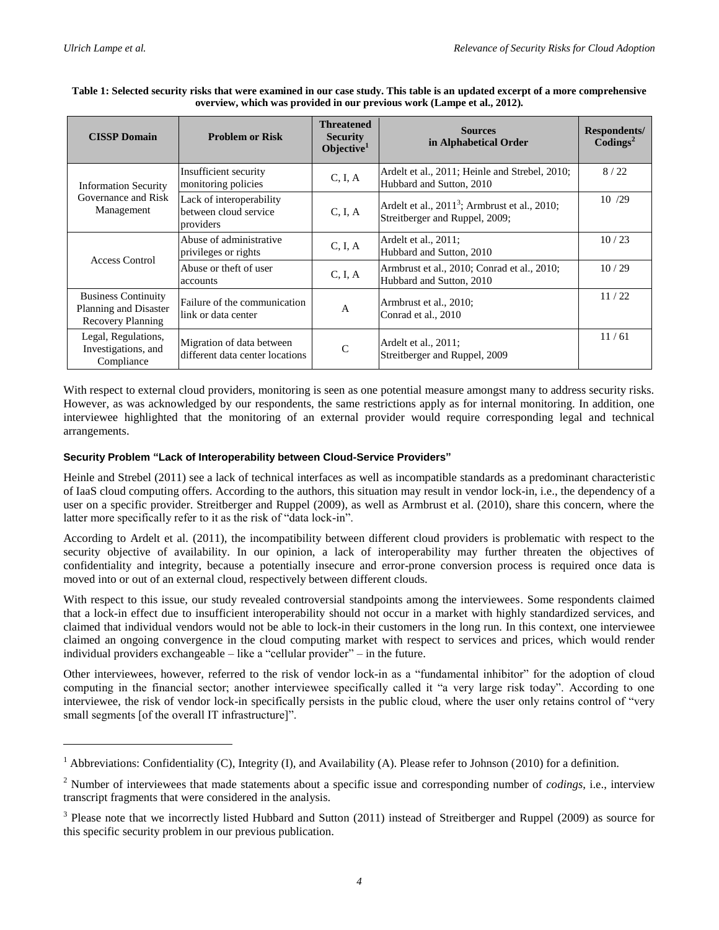$\overline{a}$ 

| <b>CISSP Domain</b>                                                             | <b>Problem or Risk</b>                                         | <b>Threatened</b><br><b>Security</b><br>Objective $1$ | <b>Sources</b><br>in Alphabetical Order                                              | Respondents/<br>$\text{Codings}^2$ |
|---------------------------------------------------------------------------------|----------------------------------------------------------------|-------------------------------------------------------|--------------------------------------------------------------------------------------|------------------------------------|
| <b>Information Security</b><br>Governance and Risk<br>Management                | Insufficient security<br>monitoring policies                   | C, I, A                                               | Ardelt et al., 2011; Heinle and Strebel, 2010;<br>Hubbard and Sutton, 2010           | 8/22                               |
|                                                                                 | Lack of interoperability<br>between cloud service<br>providers | C, I, A                                               | Ardelt et al., $20113$ ; Armbrust et al., $2010$ ;<br>Streitberger and Ruppel, 2009; | 10 /29                             |
| Access Control                                                                  | Abuse of administrative<br>privileges or rights                | C, I, A                                               | Ardelt et al., 2011;<br>Hubbard and Sutton, 2010                                     | 10/23                              |
|                                                                                 | Abuse or theft of user<br>accounts                             | C, I, A                                               | Armbrust et al., 2010; Conrad et al., 2010;<br>Hubbard and Sutton, 2010              | 10/29                              |
| <b>Business Continuity</b><br>Planning and Disaster<br><b>Recovery Planning</b> | Failure of the communication<br>link or data center            | A                                                     | Armbrust et al., 2010;<br>Conrad et al., 2010                                        | 11/22                              |
| Legal, Regulations,<br>Investigations, and<br>Compliance                        | Migration of data between<br>different data center locations   | C                                                     | Ardelt et al., 2011;<br>Streitberger and Ruppel, 2009                                | 11/61                              |

#### <span id="page-3-0"></span>**Table 1: Selected security risks that were examined in our case study. This table is an updated excerpt of a more comprehensive overview, which was provided in our previous work (Lampe et al., 2012).**

With respect to external cloud providers, monitoring is seen as one potential measure amongst many to address security risks. However, as was acknowledged by our respondents, the same restrictions apply as for internal monitoring. In addition, one interviewee highlighted that the monitoring of an external provider would require corresponding legal and technical arrangements.

# **Security Problem "Lack of Interoperability between Cloud-Service Providers"**

Heinle and Strebel (2011) see a lack of technical interfaces as well as incompatible standards as a predominant characteristic of IaaS cloud computing offers. According to the authors, this situation may result in vendor lock-in, i.e., the dependency of a user on a specific provider. Streitberger and Ruppel (2009), as well as Armbrust et al. (2010), share this concern, where the latter more specifically refer to it as the risk of "data lock-in".

According to Ardelt et al. (2011), the incompatibility between different cloud providers is problematic with respect to the security objective of availability. In our opinion, a lack of interoperability may further threaten the objectives of confidentiality and integrity, because a potentially insecure and error-prone conversion process is required once data is moved into or out of an external cloud, respectively between different clouds.

With respect to this issue, our study revealed controversial standpoints among the interviewees. Some respondents claimed that a lock-in effect due to insufficient interoperability should not occur in a market with highly standardized services, and claimed that individual vendors would not be able to lock-in their customers in the long run. In this context, one interviewee claimed an ongoing convergence in the cloud computing market with respect to services and prices, which would render individual providers exchangeable – like a "cellular provider" – in the future.

Other interviewees, however, referred to the risk of vendor lock-in as a "fundamental inhibitor" for the adoption of cloud computing in the financial sector; another interviewee specifically called it "a very large risk today". According to one interviewee, the risk of vendor lock-in specifically persists in the public cloud, where the user only retains control of "very small segments [of the overall IT infrastructure]".

<sup>&</sup>lt;sup>1</sup> Abbreviations: Confidentiality (C), Integrity (I), and Availability (A). Please refer to Johnson (2010) for a definition.

<sup>2</sup> Number of interviewees that made statements about a specific issue and corresponding number of *codings*, i.e., interview transcript fragments that were considered in the analysis.

<sup>&</sup>lt;sup>3</sup> Please note that we incorrectly listed Hubbard and Sutton (2011) instead of Streitberger and Ruppel (2009) as source for this specific security problem in our previous publication.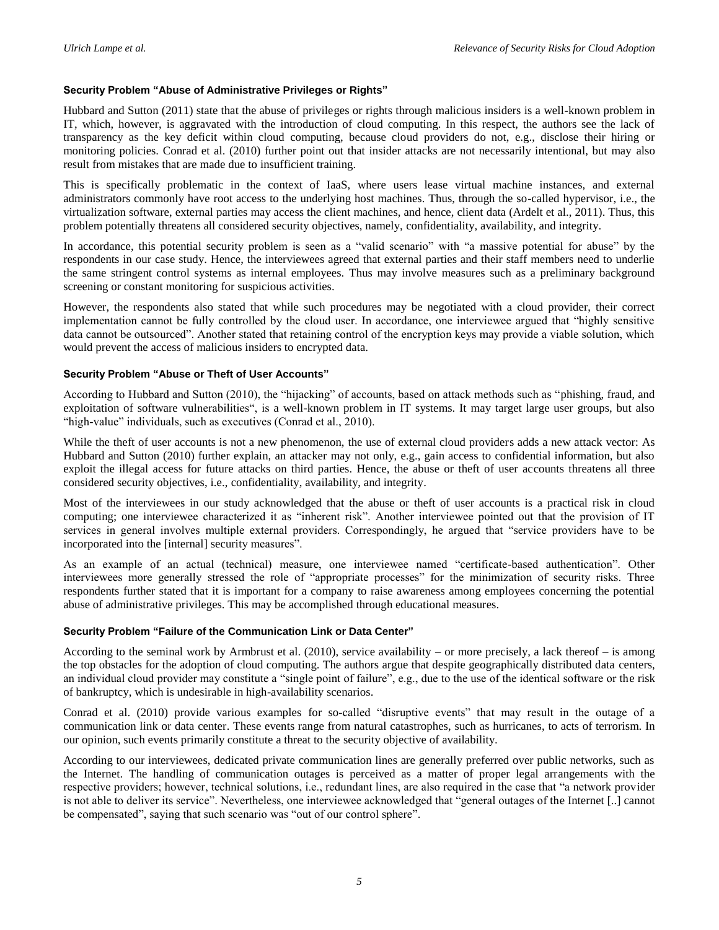#### **Security Problem "Abuse of Administrative Privileges or Rights"**

Hubbard and Sutton (2011) state that the abuse of privileges or rights through malicious insiders is a well-known problem in IT, which, however, is aggravated with the introduction of cloud computing. In this respect, the authors see the lack of transparency as the key deficit within cloud computing, because cloud providers do not, e.g., disclose their hiring or monitoring policies. Conrad et al. (2010) further point out that insider attacks are not necessarily intentional, but may also result from mistakes that are made due to insufficient training.

This is specifically problematic in the context of IaaS, where users lease virtual machine instances, and external administrators commonly have root access to the underlying host machines. Thus, through the so-called hypervisor, i.e., the virtualization software, external parties may access the client machines, and hence, client data (Ardelt et al., 2011). Thus, this problem potentially threatens all considered security objectives, namely, confidentiality, availability, and integrity.

In accordance, this potential security problem is seen as a "valid scenario" with "a massive potential for abuse" by the respondents in our case study. Hence, the interviewees agreed that external parties and their staff members need to underlie the same stringent control systems as internal employees. Thus may involve measures such as a preliminary background screening or constant monitoring for suspicious activities.

However, the respondents also stated that while such procedures may be negotiated with a cloud provider, their correct implementation cannot be fully controlled by the cloud user. In accordance, one interviewee argued that "highly sensitive data cannot be outsourced". Another stated that retaining control of the encryption keys may provide a viable solution, which would prevent the access of malicious insiders to encrypted data.

#### **Security Problem "Abuse or Theft of User Accounts"**

According to Hubbard and Sutton (2010), the "hijacking" of accounts, based on attack methods such as "phishing, fraud, and exploitation of software vulnerabilities", is a well-known problem in IT systems. It may target large user groups, but also "high-value" individuals, such as executives (Conrad et al., 2010).

While the theft of user accounts is not a new phenomenon, the use of external cloud providers adds a new attack vector: As Hubbard and Sutton (2010) further explain, an attacker may not only, e.g., gain access to confidential information, but also exploit the illegal access for future attacks on third parties. Hence, the abuse or theft of user accounts threatens all three considered security objectives, i.e., confidentiality, availability, and integrity.

Most of the interviewees in our study acknowledged that the abuse or theft of user accounts is a practical risk in cloud computing; one interviewee characterized it as "inherent risk". Another interviewee pointed out that the provision of IT services in general involves multiple external providers. Correspondingly, he argued that "service providers have to be incorporated into the [internal] security measures".

As an example of an actual (technical) measure, one interviewee named "certificate-based authentication". Other interviewees more generally stressed the role of "appropriate processes" for the minimization of security risks. Three respondents further stated that it is important for a company to raise awareness among employees concerning the potential abuse of administrative privileges. This may be accomplished through educational measures.

#### **Security Problem "Failure of the Communication Link or Data Center"**

According to the seminal work by Armbrust et al. (2010), service availability – or more precisely, a lack thereof – is among the top obstacles for the adoption of cloud computing. The authors argue that despite geographically distributed data centers, an individual cloud provider may constitute a "single point of failure", e.g., due to the use of the identical software or the risk of bankruptcy, which is undesirable in high-availability scenarios.

Conrad et al. (2010) provide various examples for so-called "disruptive events" that may result in the outage of a communication link or data center. These events range from natural catastrophes, such as hurricanes, to acts of terrorism. In our opinion, such events primarily constitute a threat to the security objective of availability.

According to our interviewees, dedicated private communication lines are generally preferred over public networks, such as the Internet. The handling of communication outages is perceived as a matter of proper legal arrangements with the respective providers; however, technical solutions, i.e., redundant lines, are also required in the case that "a network provider is not able to deliver its service". Nevertheless, one interviewee acknowledged that "general outages of the Internet [..] cannot be compensated", saying that such scenario was "out of our control sphere".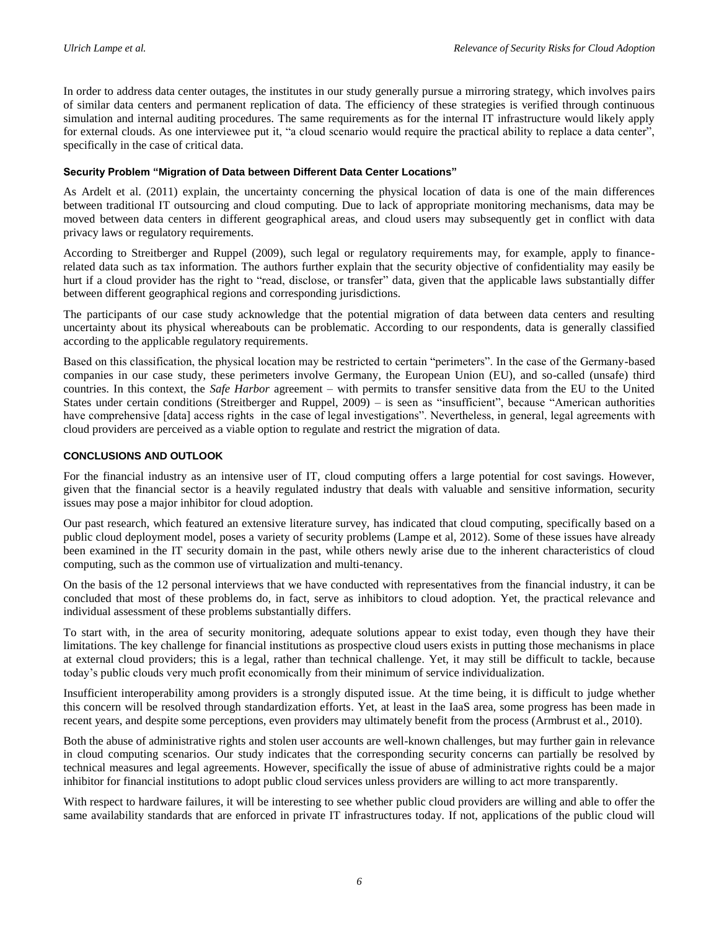In order to address data center outages, the institutes in our study generally pursue a mirroring strategy, which involves pairs of similar data centers and permanent replication of data. The efficiency of these strategies is verified through continuous simulation and internal auditing procedures. The same requirements as for the internal IT infrastructure would likely apply for external clouds. As one interviewee put it, "a cloud scenario would require the practical ability to replace a data center", specifically in the case of critical data.

#### **Security Problem "Migration of Data between Different Data Center Locations"**

As Ardelt et al. (2011) explain, the uncertainty concerning the physical location of data is one of the main differences between traditional IT outsourcing and cloud computing. Due to lack of appropriate monitoring mechanisms, data may be moved between data centers in different geographical areas, and cloud users may subsequently get in conflict with data privacy laws or regulatory requirements.

According to Streitberger and Ruppel (2009), such legal or regulatory requirements may, for example, apply to financerelated data such as tax information. The authors further explain that the security objective of confidentiality may easily be hurt if a cloud provider has the right to "read, disclose, or transfer" data, given that the applicable laws substantially differ between different geographical regions and corresponding jurisdictions.

The participants of our case study acknowledge that the potential migration of data between data centers and resulting uncertainty about its physical whereabouts can be problematic. According to our respondents, data is generally classified according to the applicable regulatory requirements.

Based on this classification, the physical location may be restricted to certain "perimeters". In the case of the Germany-based companies in our case study, these perimeters involve Germany, the European Union (EU), and so-called (unsafe) third countries. In this context, the *Safe Harbor* agreement – with permits to transfer sensitive data from the EU to the United States under certain conditions (Streitberger and Ruppel, 2009) – is seen as "insufficient", because "American authorities have comprehensive [data] access rights in the case of legal investigations". Nevertheless, in general, legal agreements with cloud providers are perceived as a viable option to regulate and restrict the migration of data.

#### **CONCLUSIONS AND OUTLOOK**

For the financial industry as an intensive user of IT, cloud computing offers a large potential for cost savings. However, given that the financial sector is a heavily regulated industry that deals with valuable and sensitive information, security issues may pose a major inhibitor for cloud adoption.

Our past research, which featured an extensive literature survey, has indicated that cloud computing, specifically based on a public cloud deployment model, poses a variety of security problems (Lampe et al, 2012). Some of these issues have already been examined in the IT security domain in the past, while others newly arise due to the inherent characteristics of cloud computing, such as the common use of virtualization and multi-tenancy.

On the basis of the 12 personal interviews that we have conducted with representatives from the financial industry, it can be concluded that most of these problems do, in fact, serve as inhibitors to cloud adoption. Yet, the practical relevance and individual assessment of these problems substantially differs.

To start with, in the area of security monitoring, adequate solutions appear to exist today, even though they have their limitations. The key challenge for financial institutions as prospective cloud users exists in putting those mechanisms in place at external cloud providers; this is a legal, rather than technical challenge. Yet, it may still be difficult to tackle, because today's public clouds very much profit economically from their minimum of service individualization.

Insufficient interoperability among providers is a strongly disputed issue. At the time being, it is difficult to judge whether this concern will be resolved through standardization efforts. Yet, at least in the IaaS area, some progress has been made in recent years, and despite some perceptions, even providers may ultimately benefit from the process (Armbrust et al., 2010).

Both the abuse of administrative rights and stolen user accounts are well-known challenges, but may further gain in relevance in cloud computing scenarios. Our study indicates that the corresponding security concerns can partially be resolved by technical measures and legal agreements. However, specifically the issue of abuse of administrative rights could be a major inhibitor for financial institutions to adopt public cloud services unless providers are willing to act more transparently.

With respect to hardware failures, it will be interesting to see whether public cloud providers are willing and able to offer the same availability standards that are enforced in private IT infrastructures today. If not, applications of the public cloud will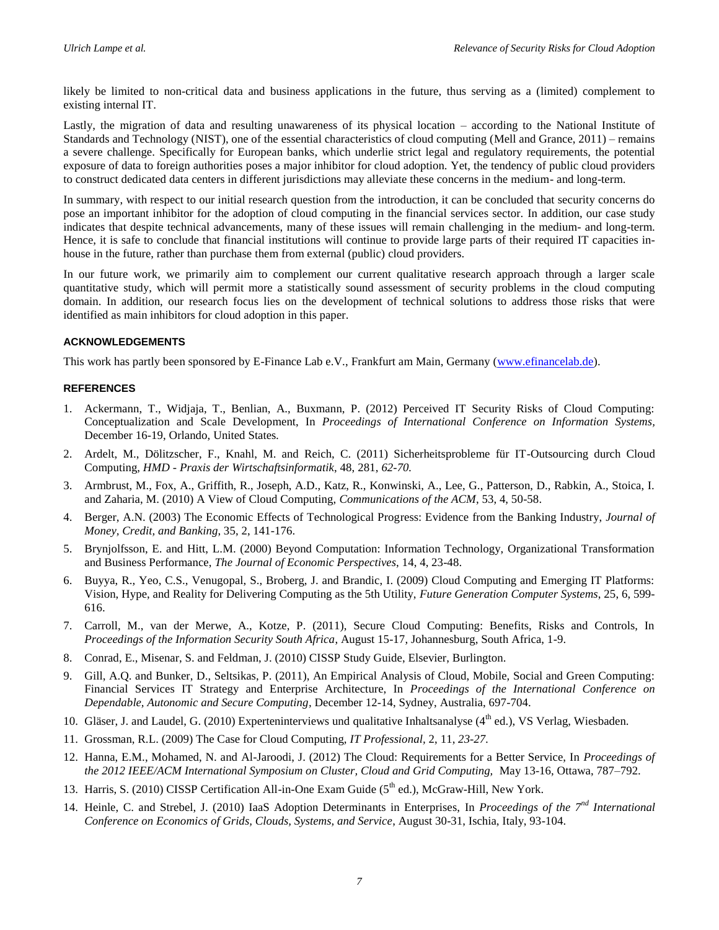likely be limited to non-critical data and business applications in the future, thus serving as a (limited) complement to existing internal IT.

Lastly, the migration of data and resulting unawareness of its physical location – according to the National Institute of Standards and Technology (NIST), one of the essential characteristics of cloud computing (Mell and Grance, 2011) – remains a severe challenge. Specifically for European banks, which underlie strict legal and regulatory requirements, the potential exposure of data to foreign authorities poses a major inhibitor for cloud adoption. Yet, the tendency of public cloud providers to construct dedicated data centers in different jurisdictions may alleviate these concerns in the medium- and long-term.

In summary, with respect to our initial research question from the introduction, it can be concluded that security concerns do pose an important inhibitor for the adoption of cloud computing in the financial services sector. In addition, our case study indicates that despite technical advancements, many of these issues will remain challenging in the medium- and long-term. Hence, it is safe to conclude that financial institutions will continue to provide large parts of their required IT capacities inhouse in the future, rather than purchase them from external (public) cloud providers.

In our future work, we primarily aim to complement our current qualitative research approach through a larger scale quantitative study, which will permit more a statistically sound assessment of security problems in the cloud computing domain. In addition, our research focus lies on the development of technical solutions to address those risks that were identified as main inhibitors for cloud adoption in this paper.

#### **ACKNOWLEDGEMENTS**

This work has partly been sponsored by E-Finance Lab e.V., Frankfurt am Main, Germany [\(www.efinancelab.de\)](http://www.efinancelab.de/).

#### **REFERENCES**

- 1. Ackermann, T., Widjaja, T., Benlian, A., Buxmann, P. (2012) Perceived IT Security Risks of Cloud Computing: Conceptualization and Scale Development, In *Proceedings of International Conference on Information Systems,*  December 16-19, Orlando, United States*.*
- 2. Ardelt, M., Dölitzscher, F., Knahl, M. and Reich, C. (2011) Sicherheitsprobleme für IT-Outsourcing durch Cloud Computing, *HMD - Praxis der Wirtschaftsinformatik*, 48, 281, *62-70.*
- 3. Armbrust, M., Fox, A., Griffith, R., Joseph, A.D., Katz, R., Konwinski, A., Lee, G., Patterson, D., Rabkin, A., Stoica, I. and Zaharia, M. (2010) A View of Cloud Computing, *Communications of the ACM*, 53, 4, 50-58.
- 4. Berger, A.N. (2003) The Economic Effects of Technological Progress: Evidence from the Banking Industry, *Journal of Money, Credit, and Banking*, 35, 2, 141-176.
- 5. Brynjolfsson, E. and Hitt, L.M. (2000) Beyond Computation: Information Technology, Organizational Transformation and Business Performance, *The Journal of Economic Perspectives*, 14, 4, 23-48.
- 6. Buyya, R., Yeo, C.S., Venugopal, S., Broberg, J. and Brandic, I. (2009) Cloud Computing and Emerging IT Platforms: Vision, Hype, and Reality for Delivering Computing as the 5th Utility, *Future Generation Computer Systems*, 25, 6, 599- 616.
- 7. Carroll, M., van der Merwe, A., Kotze, P. (2011), Secure Cloud Computing: Benefits, Risks and Controls, In *Proceedings of the Information Security South Africa*, August 15-17, Johannesburg, South Africa, 1-9.
- 8. Conrad, E., Misenar, S. and Feldman, J. (2010) CISSP Study Guide, Elsevier, Burlington.
- 9. Gill, A.Q. and Bunker, D., Seltsikas, P. (2011), An Empirical Analysis of Cloud, Mobile, Social and Green Computing: Financial Services IT Strategy and Enterprise Architecture, In *Proceedings of the International Conference on Dependable, Autonomic and Secure Computing,* December 12-14, Sydney, Australia, 697-704.
- 10. Gläser, J. and Laudel, G. (2010) Experteninterviews und qualitative Inhaltsanalyse ( $4<sup>th</sup>$  ed.), VS Verlag, Wiesbaden.
- 11. Grossman, R.L. (2009) The Case for Cloud Computing, *IT Professional,* 2, 11, *23-27.*
- 12. Hanna, E.M., Mohamed, N. and Al-Jaroodi, J. (2012) The Cloud: Requirements for a Better Service, In *Proceedings of the 2012 IEEE/ACM International Symposium on Cluster, Cloud and Grid Computing,* May 13-16, Ottawa, 787–792.
- 13. Harris, S. (2010) CISSP Certification All-in-One Exam Guide (5<sup>th</sup> ed.), McGraw-Hill, New York.
- 14. Heinle, C. and Strebel, J. (2010) IaaS Adoption Determinants in Enterprises, In *Proceedings of the 7nd International Conference on Economics of Grids, Clouds, Systems, and Service*, August 30-31, Ischia, Italy, 93-104.